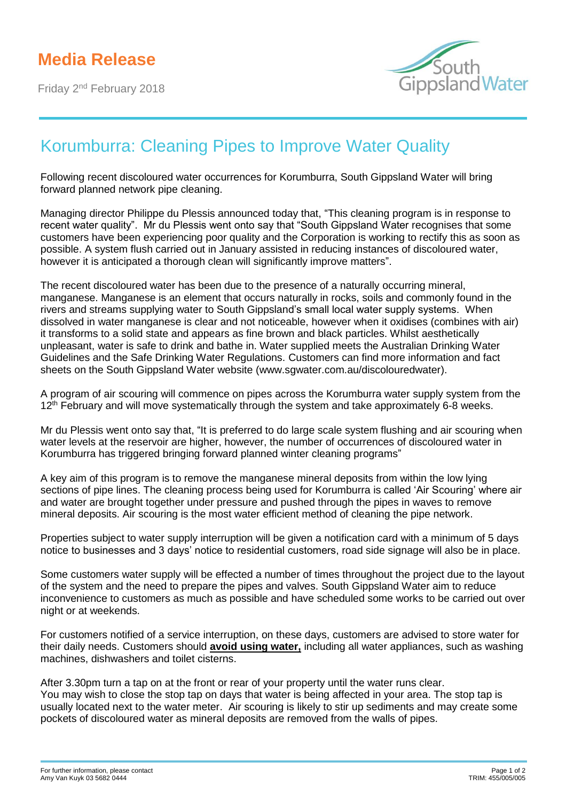Friday 2nd February 2018



## Korumburra: Cleaning Pipes to Improve Water Quality

Following recent discoloured water occurrences for Korumburra, South Gippsland Water will bring forward planned network pipe cleaning.

Managing director Philippe du Plessis announced today that, "This cleaning program is in response to recent water quality". Mr du Plessis went onto say that "South Gippsland Water recognises that some customers have been experiencing poor quality and the Corporation is working to rectify this as soon as possible. A system flush carried out in January assisted in reducing instances of discoloured water, however it is anticipated a thorough clean will significantly improve matters".

The recent discoloured water has been due to the presence of a naturally occurring mineral, manganese. Manganese is an element that occurs naturally in rocks, soils and commonly found in the rivers and streams supplying water to South Gippsland's small local water supply systems. When dissolved in water manganese is clear and not noticeable, however when it oxidises (combines with air) it transforms to a solid state and appears as fine brown and black particles. Whilst aesthetically unpleasant, water is safe to drink and bathe in. Water supplied meets the Australian Drinking Water Guidelines and the Safe Drinking Water Regulations. Customers can find more information and fact sheets on the South Gippsland Water website (www.sgwater.com.au/discolouredwater).

A program of air scouring will commence on pipes across the Korumburra water supply system from the 12<sup>th</sup> February and will move systematically through the system and take approximately 6-8 weeks.

Mr du Plessis went onto say that, "It is preferred to do large scale system flushing and air scouring when water levels at the reservoir are higher, however, the number of occurrences of discoloured water in Korumburra has triggered bringing forward planned winter cleaning programs"

A key aim of this program is to remove the manganese mineral deposits from within the low lying sections of pipe lines. The cleaning process being used for Korumburra is called 'Air Scouring' where air and water are brought together under pressure and pushed through the pipes in waves to remove mineral deposits. Air scouring is the most water efficient method of cleaning the pipe network.

Properties subject to water supply interruption will be given a notification card with a minimum of 5 days notice to businesses and 3 days' notice to residential customers, road side signage will also be in place.

Some customers water supply will be effected a number of times throughout the project due to the layout of the system and the need to prepare the pipes and valves. South Gippsland Water aim to reduce inconvenience to customers as much as possible and have scheduled some works to be carried out over night or at weekends.

For customers notified of a service interruption, on these days, customers are advised to store water for their daily needs. Customers should **avoid using water,** including all water appliances, such as washing machines, dishwashers and toilet cisterns.

After 3.30pm turn a tap on at the front or rear of your property until the water runs clear. You may wish to close the stop tap on days that water is being affected in your area. The stop tap is usually located next to the water meter. Air scouring is likely to stir up sediments and may create some pockets of discoloured water as mineral deposits are removed from the walls of pipes.